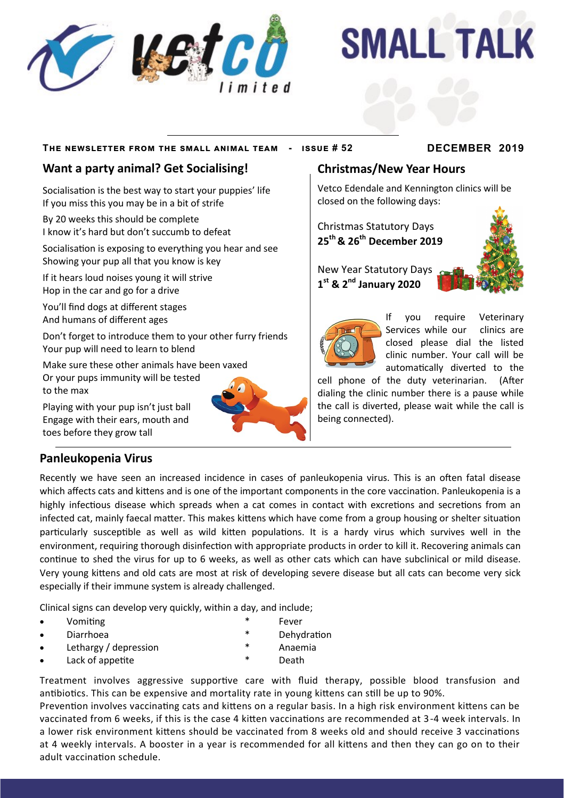

# **SMALL TALK**

### **The newsletter from the small animal team - issue # 52 DECEMBER 2019**

## **Want a party animal? Get Socialising!**

Socialisation is the best way to start your puppies' life If you miss this you may be in a bit of strife

By 20 weeks this should be complete I know it's hard but don't succumb to defeat

Socialisation is exposing to everything you hear and see Showing your pup all that you know is key

If it hears loud noises young it will strive Hop in the car and go for a drive

You'll find dogs at different stages And humans of different ages

Don't forget to introduce them to your other furry friends Your pup will need to learn to blend

Make sure these other animals have been vaxed Or your pups immunity will be tested to the max

Playing with your pup isn't just ball Engage with their ears, mouth and toes before they grow tall

## **Panleukopenia Virus**

Recently we have seen an increased incidence in cases of panleukopenia virus. This is an often fatal disease which affects cats and kittens and is one of the important components in the core vaccination. Panleukopenia is a highly infectious disease which spreads when a cat comes in contact with excretions and secretions from an infected cat, mainly faecal matter. This makes kittens which have come from a group housing or shelter situation particularly susceptible as well as wild kitten populations. It is a hardy virus which survives well in the environment, requiring thorough disinfection with appropriate products in order to kill it. Recovering animals can continue to shed the virus for up to 6 weeks, as well as other cats which can have subclinical or mild disease. Very young kittens and old cats are most at risk of developing severe disease but all cats can become very sick especially if their immune system is already challenged.

Clinical signs can develop very quickly, within a day, and include;

- Vomiting \* Fever
- Diarrhoea **\*** Dehydration
- Lethargy / depression  $*$  Anaemia
- - Lack of appetite  $\qquad \qquad \ast$  Death
- Treatment involves aggressive supportive care with fluid therapy, possible blood transfusion and antibiotics. This can be expensive and mortality rate in young kittens can still be up to 90%.

Prevention involves vaccinating cats and kittens on a regular basis. In a high risk environment kittens can be vaccinated from 6 weeks, if this is the case 4 kitten vaccinations are recommended at 3-4 week intervals. In a lower risk environment kittens should be vaccinated from 8 weeks old and should receive 3 vaccinations at 4 weekly intervals. A booster in a year is recommended for all kittens and then they can go on to their adult vaccination schedule.

## **Christmas/New Year Hours**

Vetco Edendale and Kennington clinics will be closed on the following days:

Christmas Statutory Days **25th & 26th December 2019**

New Year Statutory Days **1 st & 2nd January 2020** 



If you require Veterinary Services with darm chings are<br>closed please dial the listed Services while our clinics are clinic number. Your call will be automatically diverted to the

cell phone of the duty veterinarian. (After dialing the clinic number there is a pause while the call is diverted, please wait while the call is being connected).